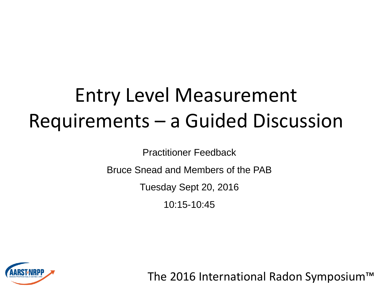#### Entry Level Measurement Requirements – a Guided Discussion

Practitioner Feedback

Bruce Snead and Members of the PAB

Tuesday Sept 20, 2016

10:15-10:45



The 2016 International Radon Symposium™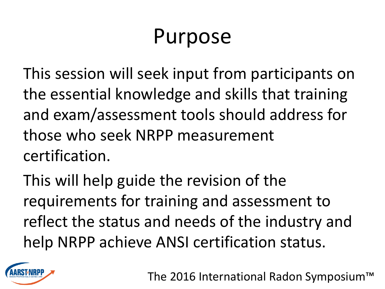# Purpose

This session will seek input from participants on the essential knowledge and skills that training and exam/assessment tools should address for those who seek NRPP measurement certification.

This will help guide the revision of the requirements for training and assessment to reflect the status and needs of the industry and help NRPP achieve ANSI certification status.



The 2016 International Radon Symposium™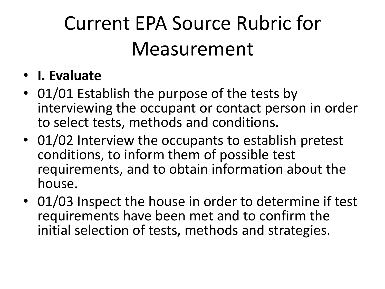#### • **I. Evaluate**

- 01/01 Establish the purpose of the tests by interviewing the occupant or contact person in order to select tests, methods and conditions.
- 01/02 Interview the occupants to establish pretest conditions, to inform them of possible test requirements, and to obtain information about the house.
- 01/03 Inspect the house in order to determine if test requirements have been met and to confirm the initial selection of tests, methods and strategies.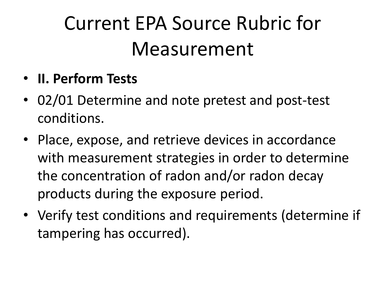- **II. Perform Tests**
- 02/01 Determine and note pretest and post-test conditions.
- Place, expose, and retrieve devices in accordance with measurement strategies in order to determine the concentration of radon and/or radon decay products during the exposure period.
- Verify test conditions and requirements (determine if tampering has occurred).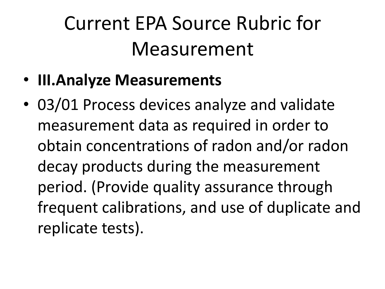- **III.Analyze Measurements**
- 03/01 Process devices analyze and validate measurement data as required in order to obtain concentrations of radon and/or radon decay products during the measurement period. (Provide quality assurance through frequent calibrations, and use of duplicate and replicate tests).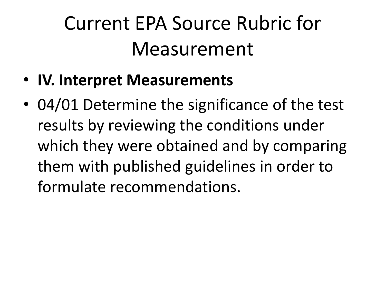- **IV. Interpret Measurements**
- 04/01 Determine the significance of the test results by reviewing the conditions under which they were obtained and by comparing them with published guidelines in order to formulate recommendations.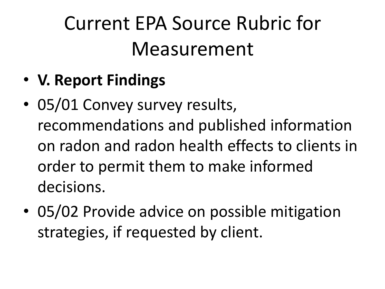- **V. Report Findings**
- 05/01 Convey survey results, recommendations and published information on radon and radon health effects to clients in order to permit them to make informed decisions.
- 05/02 Provide advice on possible mitigation strategies, if requested by client.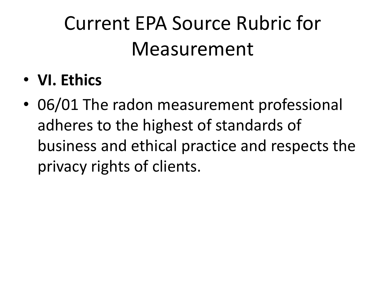- **VI. Ethics**
- 06/01 The radon measurement professional adheres to the highest of standards of business and ethical practice and respects the privacy rights of clients.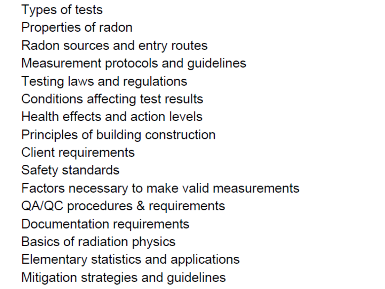Types of tests Properties of radon Radon sources and entry routes Measurement protocols and guidelines Testing laws and regulations Conditions affecting test results Health effects and action levels Principles of building construction **Client requirements** Safety standards Factors necessary to make valid measurements QA/QC procedures & requirements Documentation requirements Basics of radiation physics Elementary statistics and applications Mitigation strategies and guidelines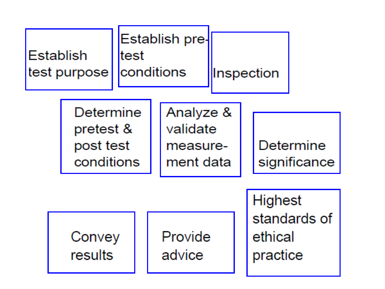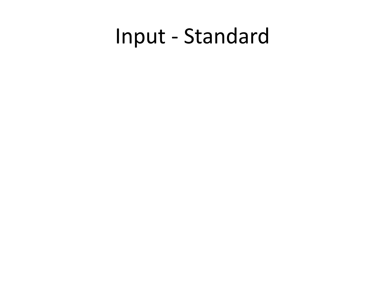### Input - Standard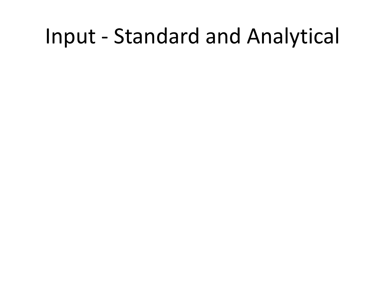#### Input - Standard and Analytical

- 
- -
- -
- 
-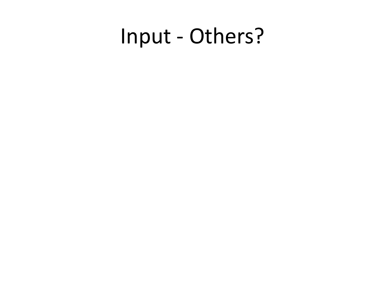#### Input - Others?